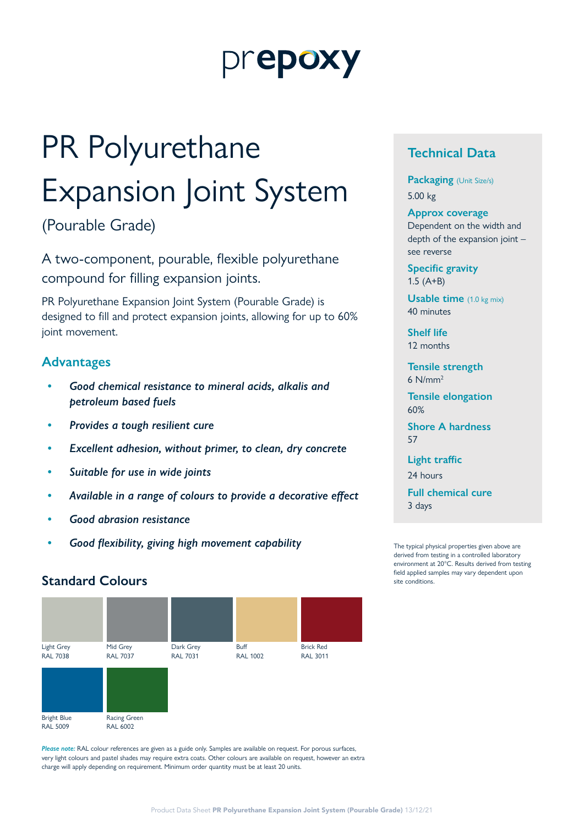# prepoxy

# PR Polyurethane Expansion Joint System

(Pourable Grade)

A two-component, pourable, flexible polyurethane compound for filling expansion joints.

PR Polyurethane Expansion Joint System (Pourable Grade) is designed to fill and protect expansion joints, allowing for up to 60% joint movement.

# **Advantages**

- *• Good chemical resistance to mineral acids, alkalis and petroleum based fuels*
- *• Provides a tough resilient cure*
- *• Excellent adhesion, without primer, to clean, dry concrete*
- *• Suitable for use in wide joints*
- *• Available in a range of colours to provide a decorative effect*
- *• Good abrasion resistance*
- *• Good flexibility, giving high movement capability*

# **Standard Colours** site conditions.



*Please note:* RAL colour references are given as a guide only. Samples are available on request. For porous surfaces, very light colours and pastel shades may require extra coats. Other colours are available on request, however an extra charge will apply depending on requirement. Minimum order quantity must be at least 20 units.

# **Technical Data**

**Packaging** (Unit Size/s) 5.00 kg

#### **Approx coverage**

Dependent on the width and depth of the expansion joint – see reverse

**Specific gravity** 1.5 (A+B)

**Usable time** (1.0 kg mix) 40 minutes

**Shelf life** 12 months

**Tensile strength** 6 N/mm2

**Tensile elongation** 60%

**Shore A hardness** 57

**Light traffic**

24 hours

**Full chemical cure** 3 days

The typical physical properties given above are derived from testing in a controlled laboratory environment at 20°C. Results derived from testing field applied samples may vary dependent upon